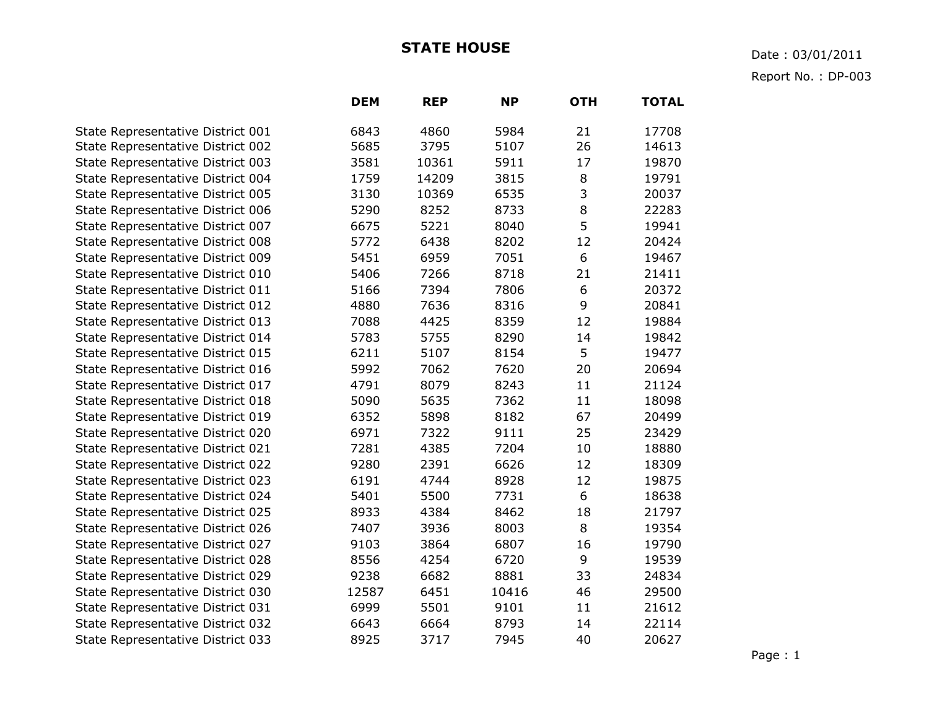## **STATE HOUSE** Date : 03/01/2011

Report No. : DP-003

|                                   | <b>DEM</b> | <b>REP</b> | <b>NP</b> | <b>OTH</b> | <b>TOTAL</b> |
|-----------------------------------|------------|------------|-----------|------------|--------------|
| State Representative District 001 | 6843       | 4860       | 5984      | 21         | 17708        |
| State Representative District 002 | 5685       | 3795       | 5107      | 26         | 14613        |
| State Representative District 003 | 3581       | 10361      | 5911      | 17         | 19870        |
| State Representative District 004 | 1759       | 14209      | 3815      | 8          | 19791        |
| State Representative District 005 | 3130       | 10369      | 6535      | 3          | 20037        |
| State Representative District 006 | 5290       | 8252       | 8733      | 8          | 22283        |
| State Representative District 007 | 6675       | 5221       | 8040      | 5          | 19941        |
| State Representative District 008 | 5772       | 6438       | 8202      | 12         | 20424        |
| State Representative District 009 | 5451       | 6959       | 7051      | 6          | 19467        |
| State Representative District 010 | 5406       | 7266       | 8718      | 21         | 21411        |
| State Representative District 011 | 5166       | 7394       | 7806      | 6          | 20372        |
| State Representative District 012 | 4880       | 7636       | 8316      | 9          | 20841        |
| State Representative District 013 | 7088       | 4425       | 8359      | 12         | 19884        |
| State Representative District 014 | 5783       | 5755       | 8290      | 14         | 19842        |
| State Representative District 015 | 6211       | 5107       | 8154      | 5          | 19477        |
| State Representative District 016 | 5992       | 7062       | 7620      | 20         | 20694        |
| State Representative District 017 | 4791       | 8079       | 8243      | 11         | 21124        |
| State Representative District 018 | 5090       | 5635       | 7362      | 11         | 18098        |
| State Representative District 019 | 6352       | 5898       | 8182      | 67         | 20499        |
| State Representative District 020 | 6971       | 7322       | 9111      | 25         | 23429        |
| State Representative District 021 | 7281       | 4385       | 7204      | 10         | 18880        |
| State Representative District 022 | 9280       | 2391       | 6626      | 12         | 18309        |
| State Representative District 023 | 6191       | 4744       | 8928      | 12         | 19875        |
| State Representative District 024 | 5401       | 5500       | 7731      | 6          | 18638        |
| State Representative District 025 | 8933       | 4384       | 8462      | 18         | 21797        |
| State Representative District 026 | 7407       | 3936       | 8003      | 8          | 19354        |
| State Representative District 027 | 9103       | 3864       | 6807      | 16         | 19790        |
| State Representative District 028 | 8556       | 4254       | 6720      | 9          | 19539        |
| State Representative District 029 | 9238       | 6682       | 8881      | 33         | 24834        |
| State Representative District 030 | 12587      | 6451       | 10416     | 46         | 29500        |
| State Representative District 031 | 6999       | 5501       | 9101      | 11         | 21612        |
| State Representative District 032 | 6643       | 6664       | 8793      | 14         | 22114        |
| State Representative District 033 | 8925       | 3717       | 7945      | 40         | 20627        |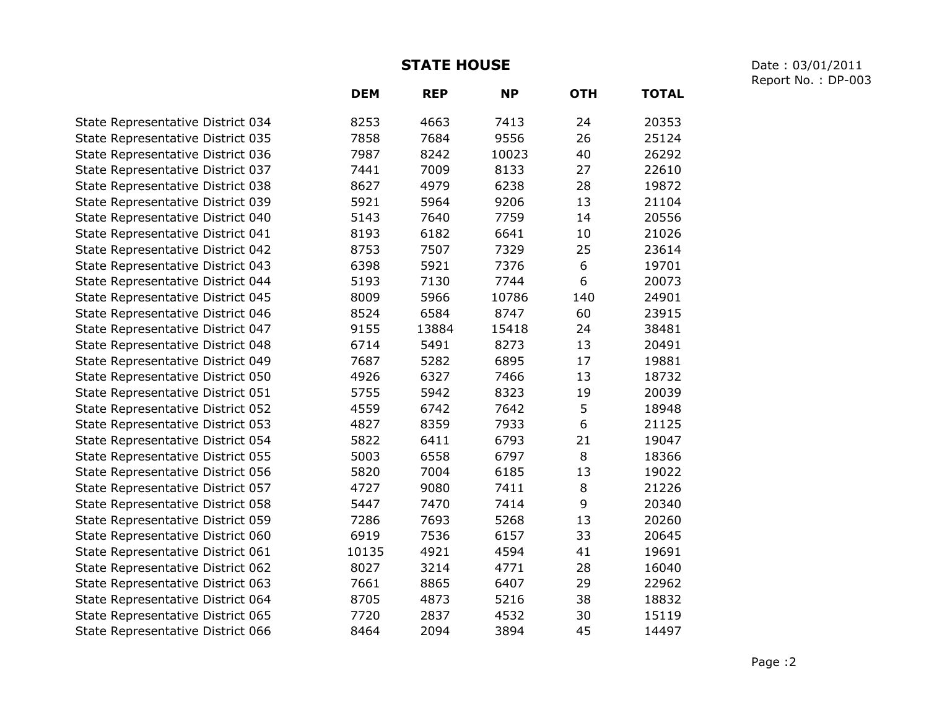**STATE HOUSE** Date : 03/01/2011 Report No. : DP-003

|                                   | <b>DEM</b> | <b>REP</b> | <b>NP</b> | <b>OTH</b> | <b>TOTAL</b> |
|-----------------------------------|------------|------------|-----------|------------|--------------|
| State Representative District 034 | 8253       | 4663       | 7413      | 24         | 20353        |
| State Representative District 035 | 7858       | 7684       | 9556      | 26         | 25124        |
| State Representative District 036 | 7987       | 8242       | 10023     | 40         | 26292        |
| State Representative District 037 | 7441       | 7009       | 8133      | 27         | 22610        |
| State Representative District 038 | 8627       | 4979       | 6238      | 28         | 19872        |
| State Representative District 039 | 5921       | 5964       | 9206      | 13         | 21104        |
| State Representative District 040 | 5143       | 7640       | 7759      | 14         | 20556        |
| State Representative District 041 | 8193       | 6182       | 6641      | 10         | 21026        |
| State Representative District 042 | 8753       | 7507       | 7329      | 25         | 23614        |
| State Representative District 043 | 6398       | 5921       | 7376      | 6          | 19701        |
| State Representative District 044 | 5193       | 7130       | 7744      | 6          | 20073        |
| State Representative District 045 | 8009       | 5966       | 10786     | 140        | 24901        |
| State Representative District 046 | 8524       | 6584       | 8747      | 60         | 23915        |
| State Representative District 047 | 9155       | 13884      | 15418     | 24         | 38481        |
| State Representative District 048 | 6714       | 5491       | 8273      | 13         | 20491        |
| State Representative District 049 | 7687       | 5282       | 6895      | 17         | 19881        |
| State Representative District 050 | 4926       | 6327       | 7466      | 13         | 18732        |
| State Representative District 051 | 5755       | 5942       | 8323      | 19         | 20039        |
| State Representative District 052 | 4559       | 6742       | 7642      | 5          | 18948        |
| State Representative District 053 | 4827       | 8359       | 7933      | 6          | 21125        |
| State Representative District 054 | 5822       | 6411       | 6793      | 21         | 19047        |
| State Representative District 055 | 5003       | 6558       | 6797      | 8          | 18366        |
| State Representative District 056 | 5820       | 7004       | 6185      | 13         | 19022        |
| State Representative District 057 | 4727       | 9080       | 7411      | 8          | 21226        |
| State Representative District 058 | 5447       | 7470       | 7414      | 9          | 20340        |
| State Representative District 059 | 7286       | 7693       | 5268      | 13         | 20260        |
| State Representative District 060 | 6919       | 7536       | 6157      | 33         | 20645        |
| State Representative District 061 | 10135      | 4921       | 4594      | 41         | 19691        |
| State Representative District 062 | 8027       | 3214       | 4771      | 28         | 16040        |
| State Representative District 063 | 7661       | 8865       | 6407      | 29         | 22962        |
| State Representative District 064 | 8705       | 4873       | 5216      | 38         | 18832        |
| State Representative District 065 | 7720       | 2837       | 4532      | 30         | 15119        |
| State Representative District 066 | 8464       | 2094       | 3894      | 45         | 14497        |